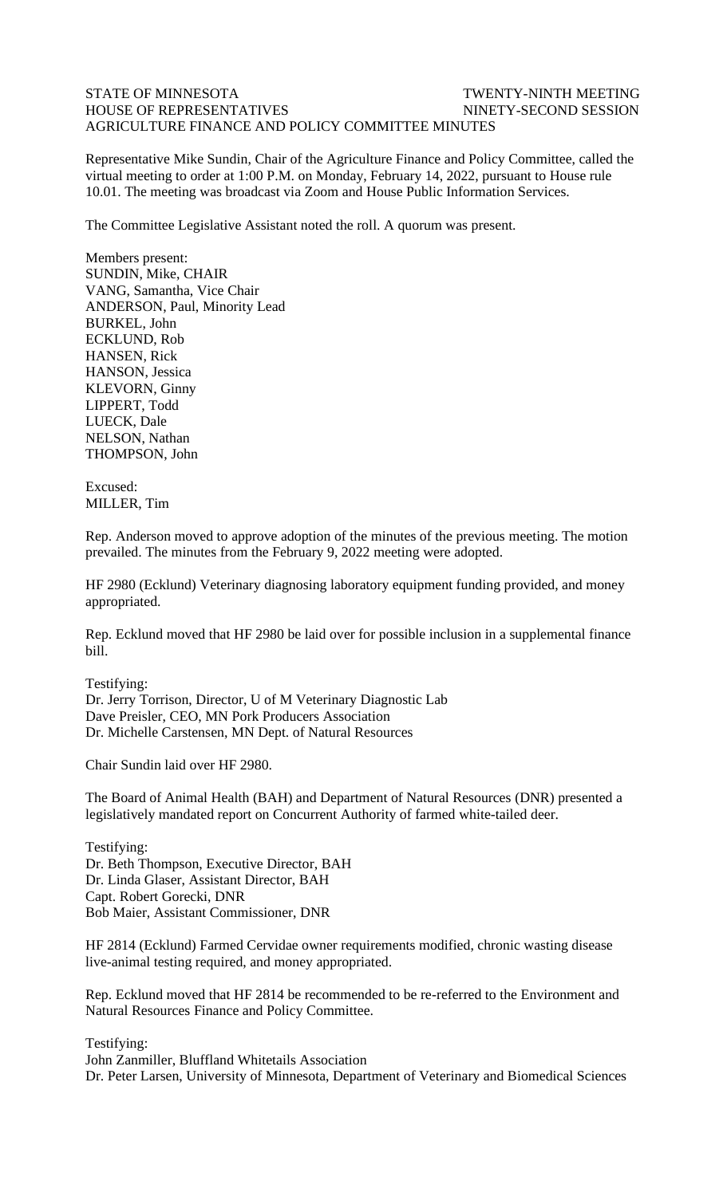## STATE OF MINNESOTA TWENTY-NINTH MEETING HOUSE OF REPRESENTATIVES NINETY-SECOND SESSION AGRICULTURE FINANCE AND POLICY COMMITTEE MINUTES

Representative Mike Sundin, Chair of the Agriculture Finance and Policy Committee, called the virtual meeting to order at 1:00 P.M. on Monday, February 14, 2022, pursuant to House rule 10.01. The meeting was broadcast via Zoom and House Public Information Services.

The Committee Legislative Assistant noted the roll. A quorum was present.

Members present: SUNDIN, Mike, CHAIR VANG, Samantha, Vice Chair ANDERSON, Paul, Minority Lead BURKEL, John ECKLUND, Rob HANSEN, Rick HANSON, Jessica KLEVORN, Ginny LIPPERT, Todd LUECK, Dale NELSON, Nathan THOMPSON, John

Excused: MILLER, Tim

Rep. Anderson moved to approve adoption of the minutes of the previous meeting. The motion prevailed. The minutes from the February 9, 2022 meeting were adopted.

HF 2980 (Ecklund) Veterinary diagnosing laboratory equipment funding provided, and money appropriated.

Rep. Ecklund moved that HF 2980 be laid over for possible inclusion in a supplemental finance bill.

Testifying: Dr. Jerry Torrison, Director, U of M Veterinary Diagnostic Lab Dave Preisler, CEO, MN Pork Producers Association Dr. Michelle Carstensen, MN Dept. of Natural Resources

Chair Sundin laid over HF 2980.

The Board of Animal Health (BAH) and Department of Natural Resources (DNR) presented a legislatively mandated report on Concurrent Authority of farmed white-tailed deer.

Testifying: Dr. Beth Thompson, Executive Director, BAH Dr. Linda Glaser, Assistant Director, BAH Capt. Robert Gorecki, DNR Bob Maier, Assistant Commissioner, DNR

HF 2814 (Ecklund) Farmed Cervidae owner requirements modified, chronic wasting disease live-animal testing required, and money appropriated.

Rep. Ecklund moved that HF 2814 be recommended to be re-referred to the Environment and Natural Resources Finance and Policy Committee.

Testifying: John Zanmiller, Bluffland Whitetails Association Dr. Peter Larsen, University of Minnesota, Department of Veterinary and Biomedical Sciences